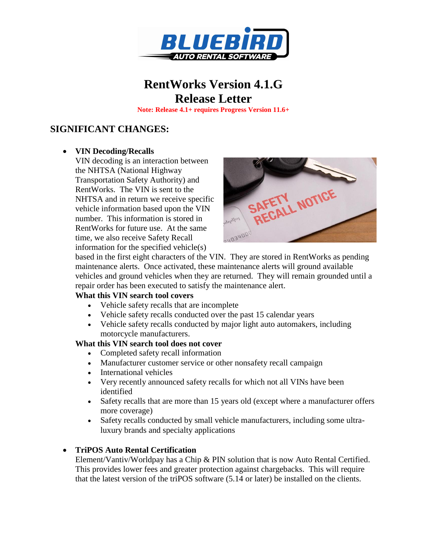

# **RentWorks Version 4.1.G Release Letter**

**Note: Release 4.1+ requires Progress Version 11.6+**

## **SIGNIFICANT CHANGES:**

#### **VIN Decoding/Recalls**

VIN decoding is an interaction between the NHTSA (National Highway Transportation Safety Authority) and RentWorks. The VIN is sent to the NHTSA and in return we receive specific vehicle information based upon the VIN number. This information is stored in RentWorks for future use. At the same time, we also receive Safety Recall information for the specified vehicle(s)



based in the first eight characters of the VIN. They are stored in RentWorks as pending maintenance alerts. Once activated, these maintenance alerts will ground available vehicles and ground vehicles when they are returned. They will remain grounded until a repair order has been executed to satisfy the maintenance alert.

#### **What this VIN search tool covers**

- Vehicle safety recalls that are incomplete
- Vehicle safety recalls conducted over the past 15 calendar years
- Vehicle safety recalls conducted by major light auto automakers, including motorcycle manufacturers.

#### **What this VIN search tool does not cover**

- Completed safety recall information
- Manufacturer customer service or other nonsafety recall campaign
- International vehicles
- Very recently announced safety recalls for which not all VINs have been identified
- Safety recalls that are more than 15 years old (except where a manufacturer offers more coverage)
- Safety recalls conducted by small vehicle manufacturers, including some ultraluxury brands and specialty applications

#### **TriPOS Auto Rental Certification**

Element/Vantiv/Worldpay has a Chip & PIN solution that is now Auto Rental Certified. This provides lower fees and greater protection against chargebacks. This will require that the latest version of the triPOS software (5.14 or later) be installed on the clients.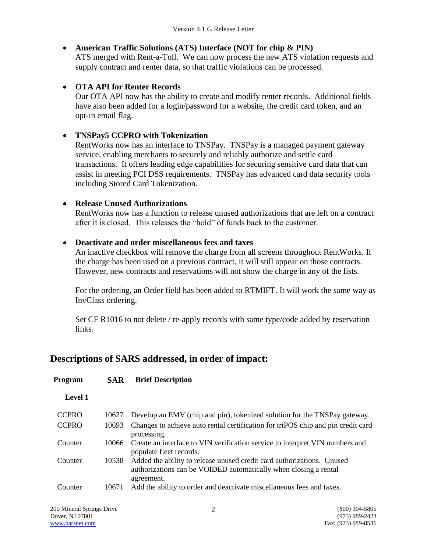## **American Traffic Solutions (ATS) Interface (NOT for chip & PIN)**

ATS merged with Rent-a-Toll. We can now process the new ATS violation requests and supply contract and renter data, so that traffic violations can be processed.

## **OTA API for Renter Records**

Our OTA API now has the ability to create and modify renter records. Additional fields have also been added for a login/password for a website, the credit card token, and an opt-in email flag.

### **TNSPay5 CCPRO with Tokenization**

RentWorks now has an interface to TNSPay. TNSPay is a managed payment gateway service, enabling merchants to securely and reliably authorize and settle card transactions. It offers leading edge capabilities for securing sensitive card data that can assist in meeting PCI DSS requirements. TNSPay has advanced card data security tools including Stored Card Tokenization.

### **Release Unused Authorizations**

**Program SAR Brief Description**

RentWorks now has a function to release unused authorizations that are left on a contract after it is closed. This releases the "hold" of funds back to the customer.

### **Deactivate and order miscellaneous fees and taxes**

An inactive checkbox will remove the charge from all screens throughout RentWorks. If the charge has been used on a previous contract, it will still appear on those contracts. However, new contracts and reservations will not show the charge in any of the lists.

For the ordering, an Order field has been added to RTMIFT. It will work the same way as InvClass ordering.

Set CF R1016 to not delete / re-apply records with same type/code added by reservation links.

## **Descriptions of SARS addressed, in order of impact:**

| <b>Level 1</b> |       |                                                                                                                                                          |
|----------------|-------|----------------------------------------------------------------------------------------------------------------------------------------------------------|
| <b>CCPRO</b>   | 10627 | Develop an EMV (chip and pin), tokenized solution for the TNSPay gateway.                                                                                |
| <b>CCPRO</b>   | 10693 | Changes to achieve auto rental certification for triPOS chip and pin credit card<br>processing.                                                          |
| Counter        | 10066 | Create an interface to VIN verification service to interpret VIN numbers and<br>populate fleet records.                                                  |
| Counter        | 10538 | Added the ability to release unused credit card authorizations. Unused<br>authorizations can be VOIDED automatically when closing a rental<br>agreement. |
| Counter        | 10671 | Add the ability to order and deactivate miscellaneous fees and taxes.                                                                                    |